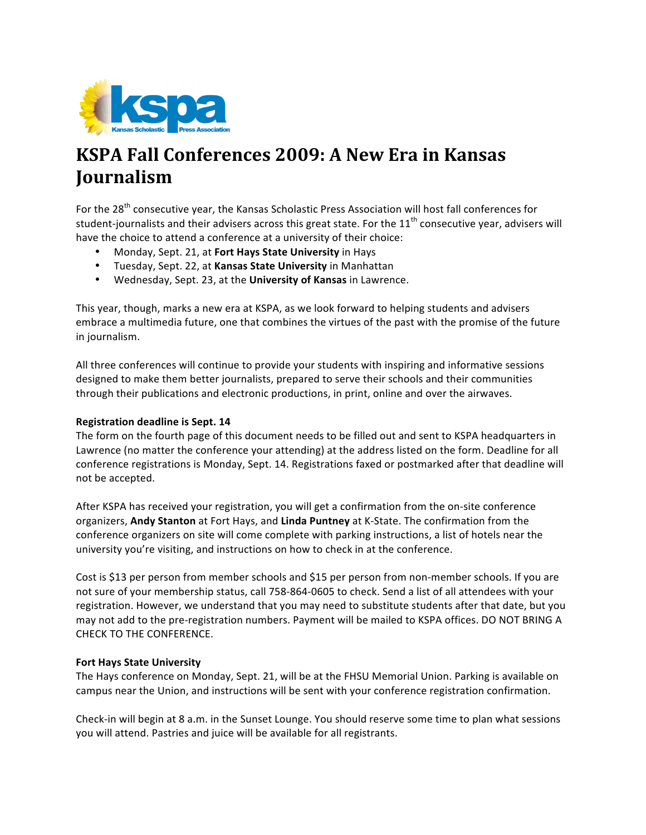

## KSPA Fall Conferences 2009: A New Era in Kansas Journalism

For the 28<sup>th</sup> consecutive year, the Kansas Scholastic Press Association will host fall conferences for student-journalists and their advisers across this great state. For the 11<sup>th</sup> consecutive year, advisers will have the choice to attend a conference at a university of their choice:

- Monday, Sept. 21, at Fort Hays State University in Hays
- Tuesday, Sept. 22, at Kansas State University in Manhattan
- Wednesday, Sept. 23, at the University of Kansas in Lawrence.

This year, though, marks a new era at KSPA, as we look forward to helping students and advisers embrace a multimedia future, one that combines the virtues of the past with the promise of the future in journalism.

All three conferences will continue to provide your students with inspiring and informative sessions designed to make them better journalists, prepared to serve their schools and their communities through their publications and electronic productions, in print, online and over the airwaves.

#### **Registration deadline is Sept. 14**

The form on the fourth page of this document needs to be filled out and sent to KSPA headquarters in Lawrence (no matter the conference your attending) at the address listed on the form. Deadline for all conference registrations is Monday, Sept. 14. Registrations faxed or postmarked after that deadline will not be accepted.

After KSPA has received your registration, you will get a confirmation from the on-site conference organizers, Andy Stanton at Fort Hays, and Linda Puntney at K-State. The confirmation from the conference organizers on site will come complete with parking instructions, a list of hotels near the university you're visiting, and instructions on how to check in at the conference.

Cost is \$13 per person from member schools and \$15 per person from non-member schools. If you are not sure of your membership status, call 758-864-0605 to check. Send a list of all attendees with your registration. However, we understand that you may need to substitute students after that date, but you may not add to the pre-registration numbers. Payment will be mailed to KSPA offices. DO NOT BRING A CHECK TO THE CONFERENCE.

#### **Fort Hays State University**

The Hays conference on Monday, Sept. 21, will be at the FHSU Memorial Union. Parking is available on campus near the Union, and instructions will be sent with your conference registration confirmation.

Check-in will begin at 8 a.m. in the Sunset Lounge. You should reserve some time to plan what sessions you will attend. Pastries and juice will be available for all registrants.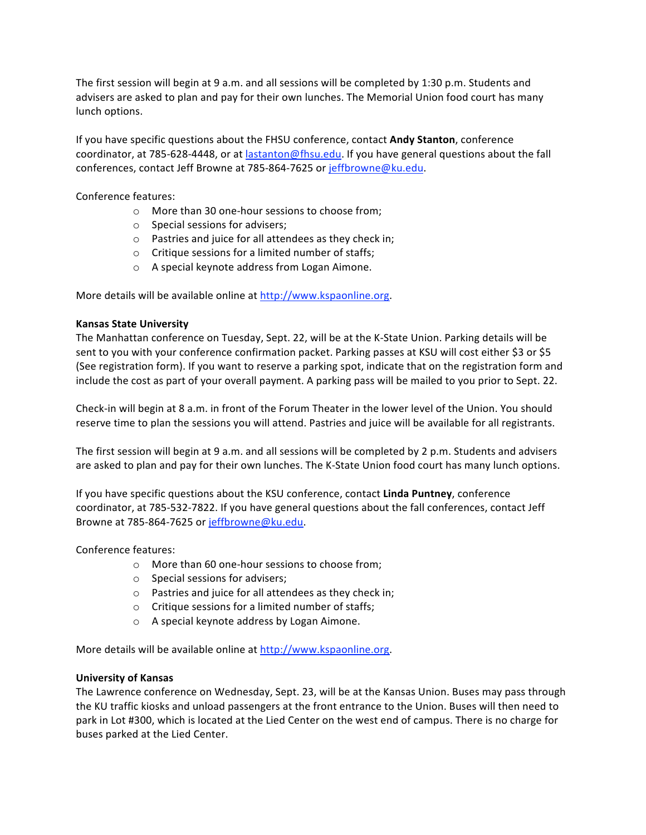The first session will begin at 9 a.m. and all sessions will be completed by 1:30 p.m. Students and advisers are asked to plan and pay for their own lunches. The Memorial Union food court has many lunch options.

If you have specific questions about the FHSU conference, contact Andy Stanton, conference coordinator, at 785-628-4448, or at lastanton@fhsu.edu. If you have general questions about the fall conferences, contact Jeff Browne at 785-864-7625 or jeffbrowne@ku.edu.

Conference features:

- o More than 30 one-hour sessions to choose from;
- $\circ$  Special sessions for advisers;
- $\circ$  Pastries and juice for all attendees as they check in;
- o Critique sessions for a limited number of staffs;
- o A special keynote address from Logan Aimone.

More details will be available online at http://www.kspaonline.org.

#### **Kansas State University**

The Manhattan conference on Tuesday, Sept. 22, will be at the K-State Union. Parking details will be sent to you with your conference confirmation packet. Parking passes at KSU will cost either \$3 or \$5 (See registration form). If you want to reserve a parking spot, indicate that on the registration form and include the cost as part of your overall payment. A parking pass will be mailed to you prior to Sept. 22.

Check-in will begin at 8 a.m. in front of the Forum Theater in the lower level of the Union. You should reserve time to plan the sessions you will attend. Pastries and juice will be available for all registrants.

The first session will begin at 9 a.m. and all sessions will be completed by 2 p.m. Students and advisers are asked to plan and pay for their own lunches. The K-State Union food court has many lunch options.

If you have specific questions about the KSU conference, contact Linda Puntney, conference coordinator, at 785-532-7822. If you have general questions about the fall conferences, contact Jeff Browne at 785-864-7625 or jeffbrowne@ku.edu.

Conference features:

- o More than 60 one-hour sessions to choose from;
- $\circ$  Special sessions for advisers;
- o Pastries and juice for all attendees as they check in;
- $\circ$  Critique sessions for a limited number of staffs;
- o A special keynote address by Logan Aimone.

More details will be available online at http://www.kspaonline.org.

#### **University of Kansas**

The Lawrence conference on Wednesday, Sept. 23, will be at the Kansas Union. Buses may pass through the KU traffic kiosks and unload passengers at the front entrance to the Union. Buses will then need to park in Lot #300, which is located at the Lied Center on the west end of campus. There is no charge for buses parked at the Lied Center.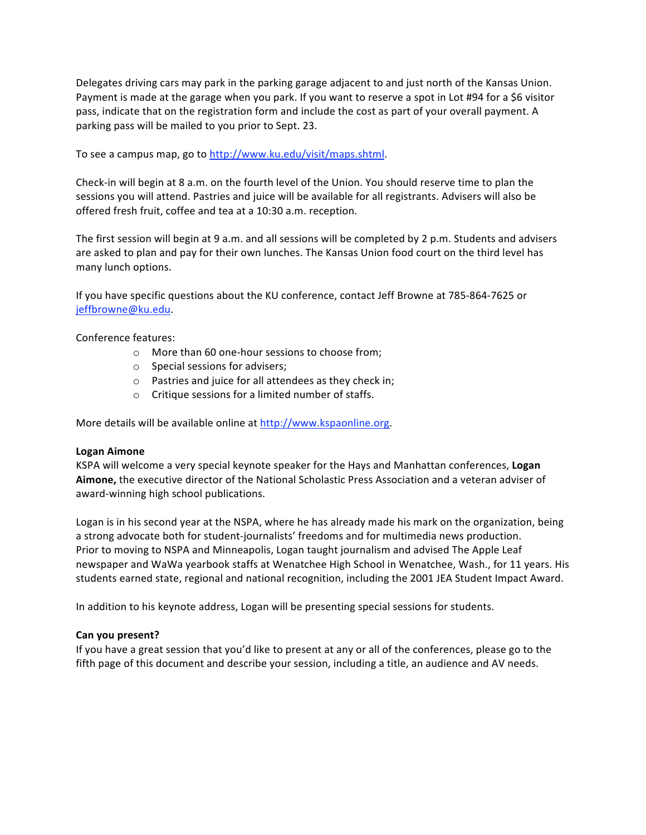Delegates driving cars may park in the parking garage adjacent to and just north of the Kansas Union. Payment is made at the garage when you park. If you want to reserve a spot in Lot #94 for a \$6 visitor pass, indicate that on the registration form and include the cost as part of your overall payment. A parking pass will be mailed to you prior to Sept. 23.

To see a campus map, go to http://www.ku.edu/visit/maps.shtml.

Check-in will begin at 8 a.m. on the fourth level of the Union. You should reserve time to plan the sessions you will attend. Pastries and juice will be available for all registrants. Advisers will also be offered fresh fruit, coffee and tea at a 10:30 a.m. reception.

The first session will begin at 9 a.m. and all sessions will be completed by 2 p.m. Students and advisers are asked to plan and pay for their own lunches. The Kansas Union food court on the third level has many lunch options.

If you have specific questions about the KU conference, contact Jeff Browne at 785-864-7625 or jeffbrowne@ku.edu.

Conference features:

- o More than 60 one-hour sessions to choose from;
- $\circ$  Special sessions for advisers;
- $\circ$  Pastries and juice for all attendees as they check in;
- o Critique sessions for a limited number of staffs.

More details will be available online at http://www.kspaonline.org.

#### **Logan Aimone**

KSPA will welcome a very special keynote speaker for the Hays and Manhattan conferences, Logan Aimone, the executive director of the National Scholastic Press Association and a veteran adviser of award-winning high school publications.

Logan is in his second year at the NSPA, where he has already made his mark on the organization, being a strong advocate both for student-journalists' freedoms and for multimedia news production. Prior to moving to NSPA and Minneapolis, Logan taught journalism and advised The Apple Leaf newspaper and WaWa yearbook staffs at Wenatchee High School in Wenatchee, Wash., for 11 years. His students earned state, regional and national recognition, including the 2001 JEA Student Impact Award.

In addition to his keynote address, Logan will be presenting special sessions for students.

#### Can you present?

If you have a great session that you'd like to present at any or all of the conferences, please go to the fifth page of this document and describe your session, including a title, an audience and AV needs.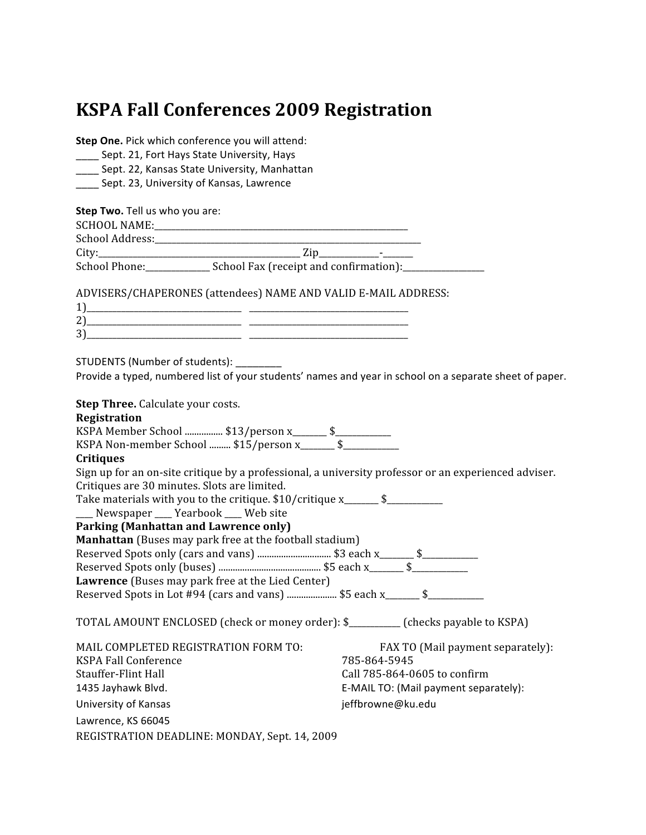### **KSPA Fall Conferences 2009 Registration**

Step One. Pick which conference you will attend:

Sept. 21, Fort Hays State University, Hays

Sept. 22, Kansas State University, Manhattan

Sept. 23, University of Kansas, Lawrence

Step Two. Tell us who you are:

| SCHOOL NAME:    |                                        |
|-----------------|----------------------------------------|
| School Address: |                                        |
| City            | -                                      |
| School Phone:   | School Fax (receipt and confirmation): |

ADVISERS/CHAPERONES (attendees) NAME AND VALID E-MAIL ADDRESS:

| _______<br>_______________ | __ |
|----------------------------|----|
| . .<br>___                 |    |

STUDENTS (Number of students):

Provide a typed, numbered list of your students' names and year in school on a separate sheet of paper.

Step Three. Calculate your costs.

#### Registration

KSPA Member School ................. \$13/person x\_\_\_\_\_\_\_ \$\_\_\_\_\_\_\_\_\_\_\_\_<br>KSPA Non-member School .......... \$15/person x\_\_\_\_\_\_\_ \$\_\_\_\_\_\_\_\_\_\_\_\_\_\_\_\_\_\_\_\_\_\_\_\_\_

#### **Critiques**

Sign up for an on-site critique by a professional, a university professor or an experienced adviser. Critiques are 30 minutes. Slots are limited.

Take materials with you to the critique. \$10/critique x\_\_\_\_\_\_\_ \$\_\_\_\_\_\_\_\_\_\_\_\_\_\_\_\_

Newspaper \_\_\_ Yearbook \_\_\_ Web site

#### Parking (Manhattan and Lawrence only)

Manhattan (Buses may park free at the football stadium)

Lawrence (Buses may park free at the Lied Center)

Reserved Spots in Lot #94 (cars and vans) ...................... \$5 each x\_\_\_\_\_\_ \$\_\_\_\_\_\_\_\_\_\_\_\_\_\_\_\_\_

TOTAL AMOUNT ENCLOSED (check or money order): \$ (checks payable to KSPA)

| MAIL COMPLETED REGISTRATION FORM TO: |  |
|--------------------------------------|--|
| KSPA Fall Conference                 |  |
| Stauffer-Flint Hall                  |  |
| 1435 Jayhawk Blvd.                   |  |
| University of Kansas                 |  |

FAX TO (Mail payment separately): 785-864-5945 Call 785-864-0605 to confirm E-MAIL TO: (Mail payment separately): jeffbrowne@ku.edu

Lawrence, KS 66045

REGISTRATION DEADLINE: MONDAY, Sept. 14, 2009